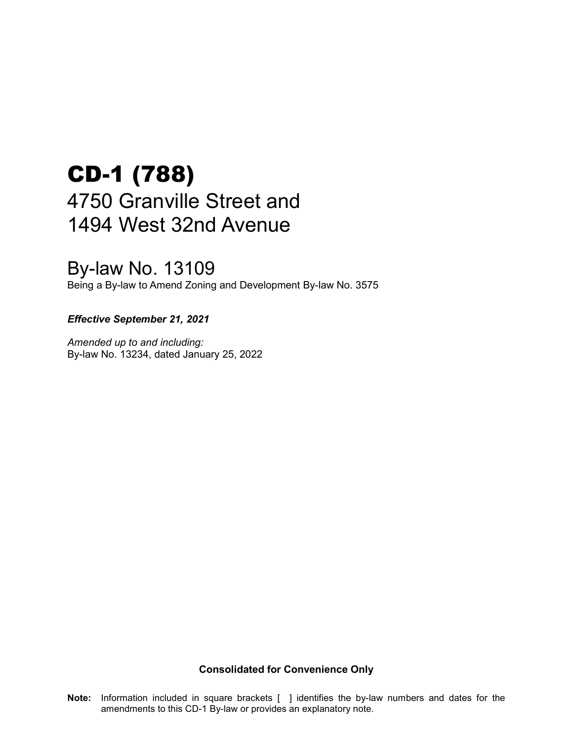# CD-1 (788) 4750 Granville Street and 1494 West 32nd Avenue

# By-law No. 13109

Being a By-law to Amend Zoning and Development By-law No. 3575

#### *Effective September 21, 2021*

*Amended up to and including:* By-law No. 13234, dated January 25, 2022

**Consolidated for Convenience Only**

**Note:** Information included in square brackets [ ] identifies the by-law numbers and dates for the amendments to this CD-1 By-law or provides an explanatory note.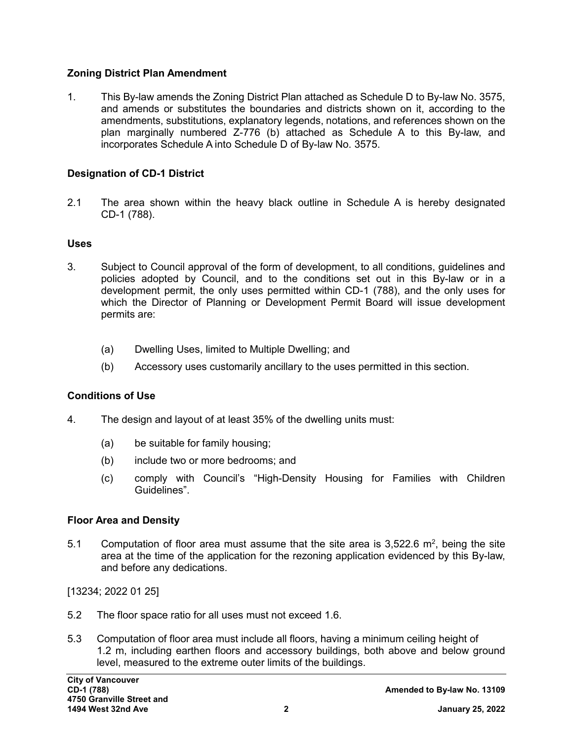#### **Zoning District Plan Amendment**

1. This By-law amends the Zoning District Plan attached as Schedule D to By-law No. 3575, and amends or substitutes the boundaries and districts shown on it, according to the amendments, substitutions, explanatory legends, notations, and references shown on the plan marginally numbered Z-776 (b) attached as Schedule A to this By-law, and incorporates Schedule A into Schedule D of By-law No. 3575.

#### **Designation of CD-1 District**

2.1 The area shown within the heavy black outline in Schedule A is hereby designated CD-1 (788).

#### **Uses**

- 3. Subject to Council approval of the form of development, to all conditions, guidelines and policies adopted by Council, and to the conditions set out in this By-law or in a development permit, the only uses permitted within CD-1 (788), and the only uses for which the Director of Planning or Development Permit Board will issue development permits are:
	- (a) Dwelling Uses, limited to Multiple Dwelling; and
	- (b) Accessory uses customarily ancillary to the uses permitted in this section.

#### **Conditions of Use**

- 4. The design and layout of at least 35% of the dwelling units must:
	- (a) be suitable for family housing;
	- (b) include two or more bedrooms; and
	- (c) comply with Council's "High-Density Housing for Families with Children Guidelines".

#### **Floor Area and Density**

5.1 Computation of floor area must assume that the site area is 3,522.6 m<sup>2</sup>, being the site area at the time of the application for the rezoning application evidenced by this By-law, and before any dedications.

[13234; 2022 01 25]

- 5.2 The floor space ratio for all uses must not exceed 1.6.
- 5.3 Computation of floor area must include all floors, having a minimum ceiling height of 1.2 m, including earthen floors and accessory buildings, both above and below ground level, measured to the extreme outer limits of the buildings.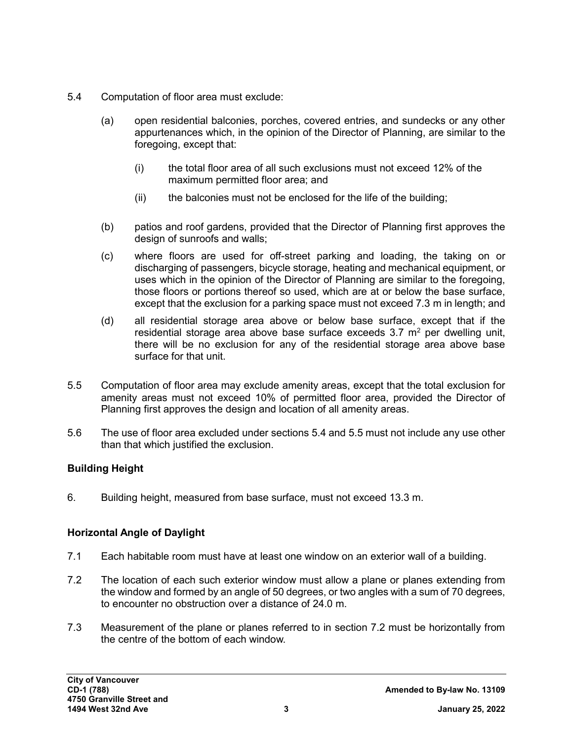- 5.4 Computation of floor area must exclude:
	- (a) open residential balconies, porches, covered entries, and sundecks or any other appurtenances which, in the opinion of the Director of Planning, are similar to the foregoing, except that:
		- (i) the total floor area of all such exclusions must not exceed 12% of the maximum permitted floor area; and
		- (ii) the balconies must not be enclosed for the life of the building;
	- (b) patios and roof gardens, provided that the Director of Planning first approves the design of sunroofs and walls;
	- (c) where floors are used for off-street parking and loading, the taking on or discharging of passengers, bicycle storage, heating and mechanical equipment, or uses which in the opinion of the Director of Planning are similar to the foregoing, those floors or portions thereof so used, which are at or below the base surface, except that the exclusion for a parking space must not exceed 7.3 m in length; and
	- (d) all residential storage area above or below base surface, except that if the residential storage area above base surface exceeds  $3.7 \text{ m}^2$  per dwelling unit, there will be no exclusion for any of the residential storage area above base surface for that unit.
- 5.5 Computation of floor area may exclude amenity areas, except that the total exclusion for amenity areas must not exceed 10% of permitted floor area, provided the Director of Planning first approves the design and location of all amenity areas.
- 5.6 The use of floor area excluded under sections 5.4 and 5.5 must not include any use other than that which justified the exclusion.

# **Building Height**

6. Building height, measured from base surface, must not exceed 13.3 m.

#### **Horizontal Angle of Daylight**

- 7.1 Each habitable room must have at least one window on an exterior wall of a building.
- 7.2 The location of each such exterior window must allow a plane or planes extending from the window and formed by an angle of 50 degrees, or two angles with a sum of 70 degrees, to encounter no obstruction over a distance of 24.0 m.
- 7.3 Measurement of the plane or planes referred to in section 7.2 must be horizontally from the centre of the bottom of each window.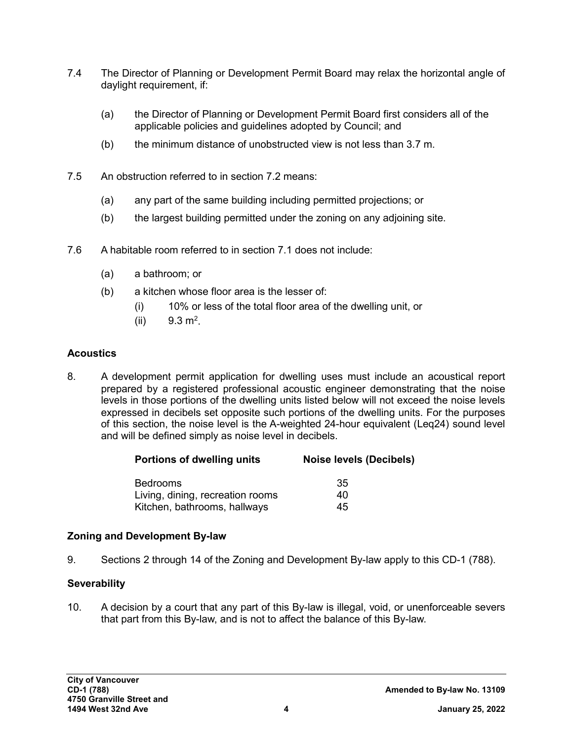- 7.4 The Director of Planning or Development Permit Board may relax the horizontal angle of daylight requirement, if:
	- (a) the Director of Planning or Development Permit Board first considers all of the applicable policies and guidelines adopted by Council; and
	- (b) the minimum distance of unobstructed view is not less than 3.7 m.
- 7.5 An obstruction referred to in section 7.2 means:
	- (a) any part of the same building including permitted projections; or
	- (b) the largest building permitted under the zoning on any adjoining site.
- 7.6 A habitable room referred to in section 7.1 does not include:
	- (a) a bathroom; or
	- (b) a kitchen whose floor area is the lesser of:
		- (i) 10% or less of the total floor area of the dwelling unit, or
		- (ii)  $9.3 \text{ m}^2$ .

## **Acoustics**

8. A development permit application for dwelling uses must include an acoustical report prepared by a registered professional acoustic engineer demonstrating that the noise levels in those portions of the dwelling units listed below will not exceed the noise levels expressed in decibels set opposite such portions of the dwelling units. For the purposes of this section, the noise level is the A-weighted 24-hour equivalent (Leq24) sound level and will be defined simply as noise level in decibels.

| <b>Noise levels (Decibels)</b> |
|--------------------------------|
| -35                            |
| 40                             |
| 45                             |
|                                |

#### **Zoning and Development By-law**

9. Sections 2 through 14 of the Zoning and Development By-law apply to this CD-1 (788).

# **Severability**

10. A decision by a court that any part of this By-law is illegal, void, or unenforceable severs that part from this By-law, and is not to affect the balance of this By-law.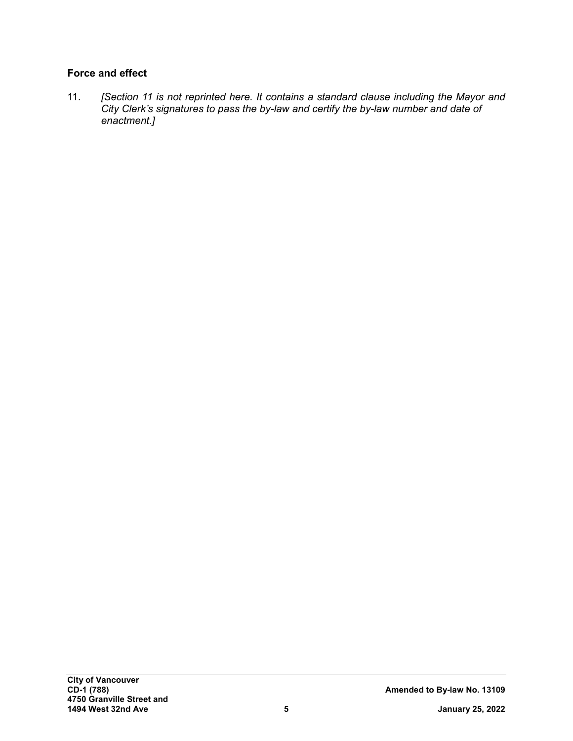## **Force and effect**

11. *[Section 11 is not reprinted here. It contains a standard clause including the Mayor and City Clerk's signatures to pass the by-law and certify the by-law number and date of enactment.]*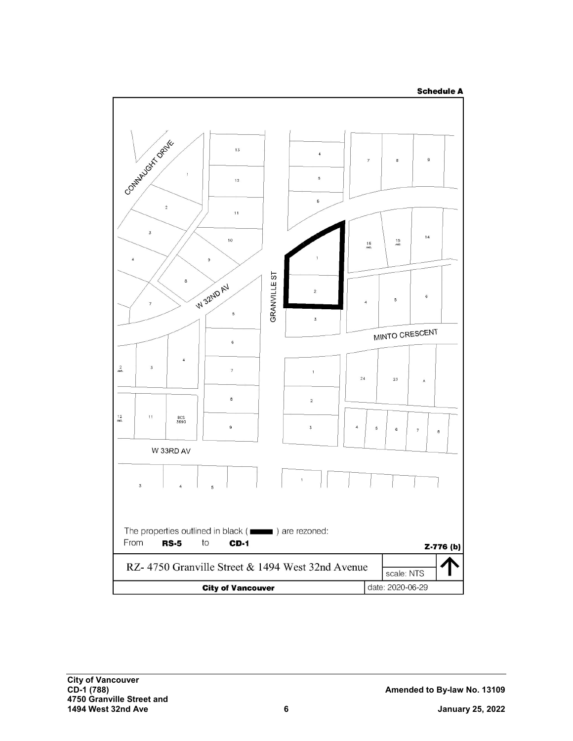